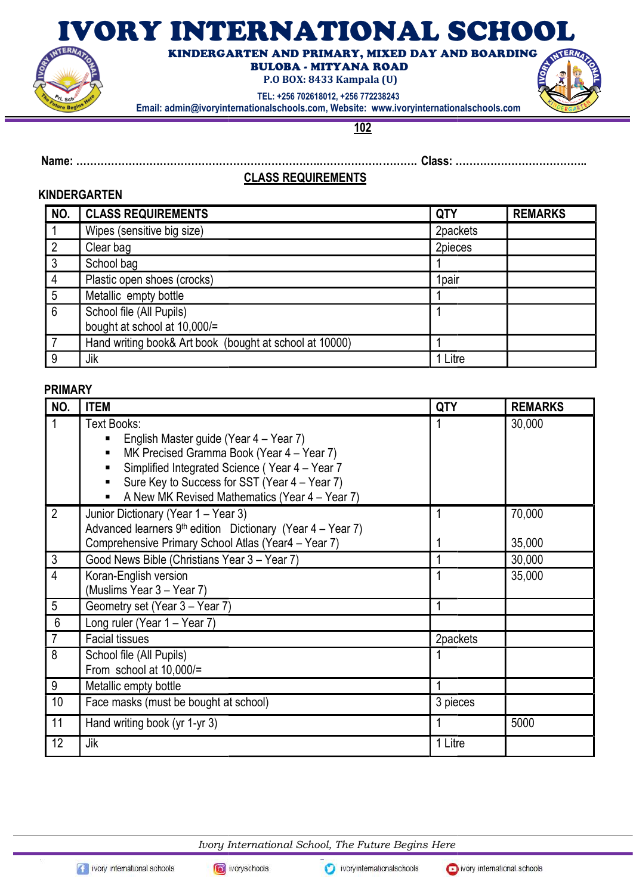# IVORY INTERNATIONAL SCHOOL



 KINDERGARTEN AND PRIMARY, MIXED DAY AND BOARDING BULOBA - MITYANA ROAD

P.O BOX: 8433 Kampala (U)

TEL: +256 702618012, +256 772238243

Email: admin@ivoryinternationalschools.com, Website: www.ivoryinternationalschools.com

102

Name: …………………………………………… …………………………………………………………….……………… ………. Class: …………… ………………………………..

## CLASS REQUIREMENTS

### **KINDERGARTEN**

| NO. | <b>CLASS REQUIREMENTS</b>                               | <b>QTY</b> | <b>REMARKS</b> |
|-----|---------------------------------------------------------|------------|----------------|
|     | Wipes (sensitive big size)                              | 2packets   |                |
|     | Clear bag                                               | 2pieces    |                |
| 3   | School bag                                              |            |                |
| 4   | Plastic open shoes (crocks)                             | 1pair      |                |
| 5   | Metallic empty bottle                                   |            |                |
| 6   | School file (All Pupils)                                |            |                |
|     | bought at school at 10,000/=                            |            |                |
|     | Hand writing book& Art book (bought at school at 10000) |            |                |
| 9   | Jik                                                     | 1 Litre    |                |

#### PRIMARY

| NO.            | <b>ITEM</b>                                                                                                                                                                                                               | <b>QTY</b> | <b>REMARKS</b>   |
|----------------|---------------------------------------------------------------------------------------------------------------------------------------------------------------------------------------------------------------------------|------------|------------------|
| 1              | Text Books:<br>English Master guide (Year 4 – Year 7)<br>٠<br>MK Precised Gramma Book (Year 4 - Year 7)<br>٠<br>Simplified Integrated Science (Year 4 - Year 7<br>٠<br>Sure Key to Success for SST (Year 4 – Year 7)<br>٠ |            | 30,000           |
|                | A New MK Revised Mathematics (Year 4 - Year 7)                                                                                                                                                                            |            |                  |
| $\overline{2}$ | Junior Dictionary (Year 1 – Year 3)<br>Advanced learners $9th$ edition Dictionary (Year 4 – Year 7)<br>Comprehensive Primary School Atlas (Year4 - Year 7)                                                                |            | 70,000<br>35,000 |
| $\mathfrak{Z}$ | Good News Bible (Christians Year 3 - Year 7)                                                                                                                                                                              | 1          | 30,000           |
| $\overline{4}$ | Koran-English version<br>(Muslims Year 3 – Year 7)                                                                                                                                                                        |            | 35,000           |
| 5              | Geometry set (Year 3 - Year 7)                                                                                                                                                                                            | 1          |                  |
| $6\,$          | Long ruler (Year 1 - Year 7)                                                                                                                                                                                              |            |                  |
| $\overline{7}$ | <b>Facial tissues</b>                                                                                                                                                                                                     | 2packets   |                  |
| 8              | School file (All Pupils)<br>From school at 10,000/=                                                                                                                                                                       |            |                  |
| 9              | Metallic empty bottle                                                                                                                                                                                                     | 1          |                  |
| 10             | Face masks (must be bought at school)                                                                                                                                                                                     | 3 pieces   |                  |
| 11             | Hand writing book (yr 1-yr 3)                                                                                                                                                                                             | 1          | 5000             |
| 12             | Jik                                                                                                                                                                                                                       | 1 Litre    |                  |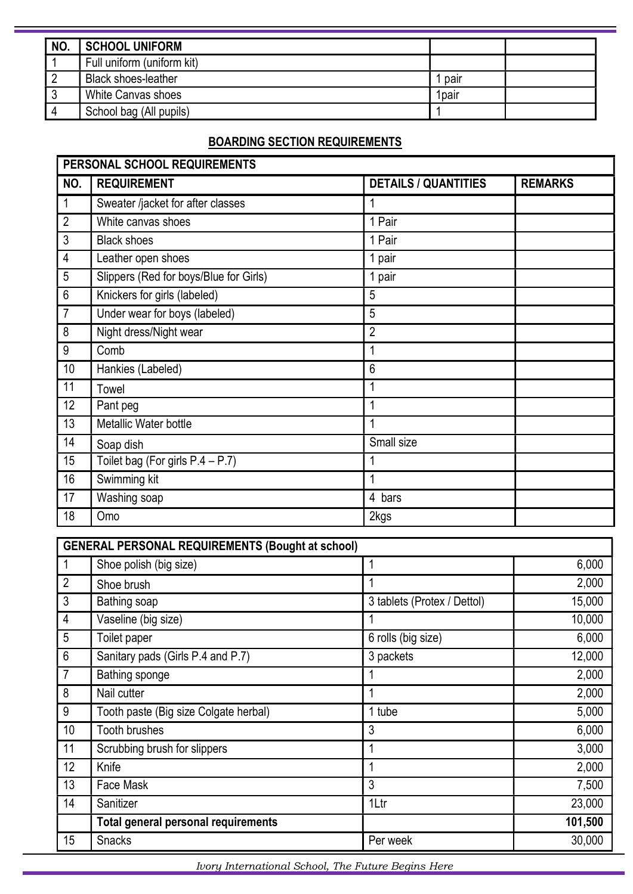| NO. | <b>SCHOOL UNIFORM</b>      |                   |  |
|-----|----------------------------|-------------------|--|
|     | Full uniform (uniform kit) |                   |  |
|     | <b>Black shoes-leather</b> | pair              |  |
|     | <b>White Canvas shoes</b>  | 1 <sub>pair</sub> |  |
|     | School bag (All pupils)    |                   |  |

# BOARDING SECTION REQUIREMENTS

| PERSONAL SCHOOL REQUIREMENTS |                                        |                             |                |
|------------------------------|----------------------------------------|-----------------------------|----------------|
| NO.                          | <b>REQUIREMENT</b>                     | <b>DETAILS / QUANTITIES</b> | <b>REMARKS</b> |
| $\mathbf{1}$                 | Sweater /jacket for after classes      | 1                           |                |
| $\overline{2}$               | White canvas shoes                     | 1 Pair                      |                |
| 3                            | <b>Black shoes</b>                     | 1 Pair                      |                |
| 4                            | Leather open shoes                     | 1 pair                      |                |
| 5                            | Slippers (Red for boys/Blue for Girls) | 1 pair                      |                |
| $6\,$                        | Knickers for girls (labeled)           | 5                           |                |
| $\overline{7}$               | Under wear for boys (labeled)          | 5                           |                |
| 8                            | Night dress/Night wear                 | $\overline{2}$              |                |
| 9                            | Comb                                   | 1                           |                |
| 10                           | Hankies (Labeled)                      | 6                           |                |
| 11                           | Towel                                  | 1                           |                |
| 12                           | Pant peg                               | 1                           |                |
| 13                           | Metallic Water bottle                  | 1                           |                |
| 14                           | Soap dish                              | Small size                  |                |
| 15                           | Toilet bag (For girls $P.4 - P.7$ )    | 1                           |                |
| 16                           | Swimming kit                           | 1                           |                |
| 17                           | Washing soap                           | 4 bars                      |                |
| 18                           | Omo                                    | 2kgs                        |                |

| <b>GENERAL PERSONAL REQUIREMENTS (Bought at school)</b> |                                            |                                 |         |
|---------------------------------------------------------|--------------------------------------------|---------------------------------|---------|
|                                                         | Shoe polish (big size)                     |                                 | 6,000   |
| $\overline{2}$                                          | Shoe brush                                 |                                 | 2,000   |
| 3                                                       | Bathing soap                               | 3 tablets (Protex / Dettol)     | 15,000  |
| 4                                                       | Vaseline (big size)                        |                                 | 10,000  |
| 5                                                       | Toilet paper                               | $\overline{6}$ rolls (big size) | 6,000   |
| 6                                                       | Sanitary pads (Girls P.4 and P.7)          | 3 packets                       | 12,000  |
| $\overline{7}$                                          | Bathing sponge                             |                                 | 2,000   |
| 8                                                       | Nail cutter                                |                                 | 2,000   |
| 9                                                       | Tooth paste (Big size Colgate herbal)      | 1 tube                          | 5,000   |
| 10                                                      | Tooth brushes                              | 3                               | 6,000   |
| 11                                                      | Scrubbing brush for slippers               | 1                               | 3,000   |
| 12                                                      | Knife                                      |                                 | 2,000   |
| 13                                                      | Face Mask                                  | 3                               | 7,500   |
| 14                                                      | Sanitizer                                  | 1Ltr                            | 23,000  |
|                                                         | <b>Total general personal requirements</b> |                                 | 101,500 |
| 15                                                      | <b>Snacks</b>                              | Per week                        | 30,000  |